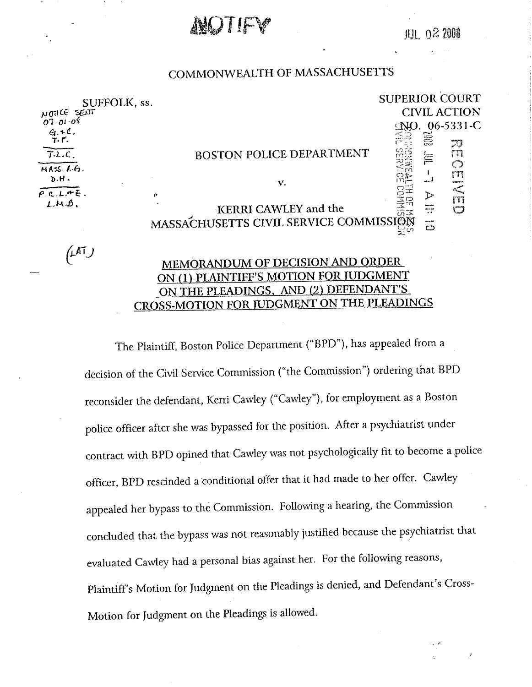**AND LIFY** 

 $(\mu \mathsf{h})$ 

JUL 02 2006

| COMMONWEALTH OF MASSACHUSETTS |  |  |  |
|-------------------------------|--|--|--|
|-------------------------------|--|--|--|

| SUFFOLK, ss.<br>$\mu$ od $\sigma$ |                                        | <b>SUPERIOR COURT</b> |                    |                            |
|-----------------------------------|----------------------------------------|-----------------------|--------------------|----------------------------|
|                                   |                                        |                       |                    | <b>CIVIL ACTION</b>        |
|                                   |                                        |                       |                    | MO. 06-5331-C              |
| $G-F.$                            |                                        |                       | W                  | ليتسم                      |
| $\overline{TLC}$                  | <b>BOSTON POLICE DEPARTMENT</b>        | G)                    | Ξ                  | $\mathcal{T}$              |
| $MASA-G.$                         |                                        |                       |                    |                            |
| D.H.                              | v.                                     |                       |                    | erstoren.                  |
| P.C.L.F.E.                        | ٨                                      |                       |                    |                            |
| LMB                               | KERRI CAWLEY and the                   | ∴ت 02                 | اسمعه<br>$\bullet$ | m<br>t <sup>vanaan</sup> 1 |
|                                   | MASSACHUSETTS CIVIL SERVICE COMMISSION |                       | بمديسهم<br>ො       |                            |

## **MEMORANDUM OF DECISION AND ORDER ON (l) PLAINTIFF'S MOTION FOR JUDGMENT ON THE PLEADINGS, AND (2) DEFENDANT'S CROSS-MOTION FOR JUDGMENT ON THE PLEADINGS**

The Plaintiff, Boston Police Department ("BPD"), has appealed from a decision of the Civil Service Commission ("the Commission") ordering that BPD reconsider the defendant, Kerri Cawley ("Cawley"), for employment as a Boston police officer after she was bypassed for the position. After a psychiatrist under contract with BPD opined that Cawley was not psychologically fit to become a police officer, BPD rescinded a conditional offer that it had made to her offer. Cawley appealed her bypass to the Commission. Following a hearing, the Commission concluded that the bypass was not reasonably justified because the psychiatrist that evaluated Cawley had a personal bias against her. For the following reasons, Plaintiff's Motion for Judgment on the Pleadings is denied, and Defendant's Cross-Motion for Judgment on the Pleadings is allowed.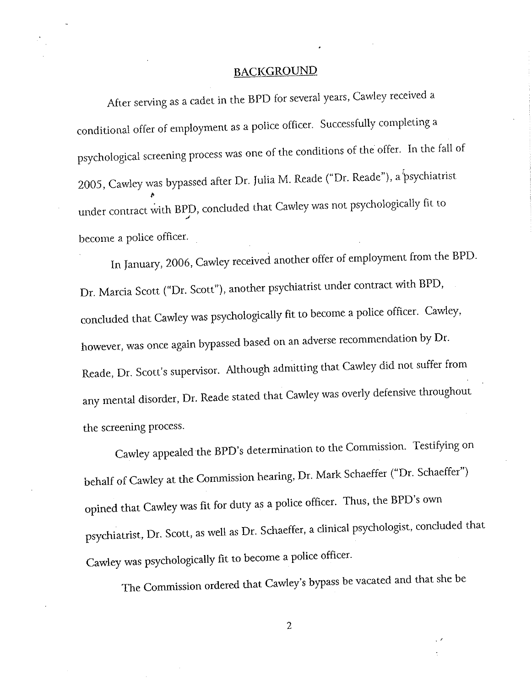## BACKGROUND

After serving as a cadet in the BPD for several years, Cawley received a conditional offer of employment as a police officer. Successfully completing a psychological screening process was one of the conditions of the offer. In the fall of 2005, Cawley was bypassed after Dr. Julia M. Reade ("Dr. Reade"), a psychiatrist .<br>under contract with BPD, concluded that Cawley was not psychologically fit to become a police officer.

In January, 2006, Cawley received another offer of employment from the BPD. Dr. Marcia Scott ("Dr. Scott"), another psychiatrist under contract with BPD, concluded that Cawley was psychologically fit to become a police officer. Cawley, however, was once again bypassed based on an adverse recommendation by Dr. Reade, Dr. Scott's supervisor. Although admitting that Cawley did not suffer from any mental disorder, Dr. Reade stated that Cawley was overly defensive throughout the screening process.

Cawley appealed the BPD's determination to the Commission. Testifying on behalf of Cawley at the Commission hearing, Dr. Mark Schaeffer ("Dr. Schaeffer") opined that Cawley was fit for duty as a police officer. Thus, the BPD's own psychiatrist, Dr. Scott, as well as Dr. Schaeffer, a clinical psychologist, concluded that Cawley was psychologically fit to become a police officer.

The Commission ordered that Cawley's bypass be vacated and that she be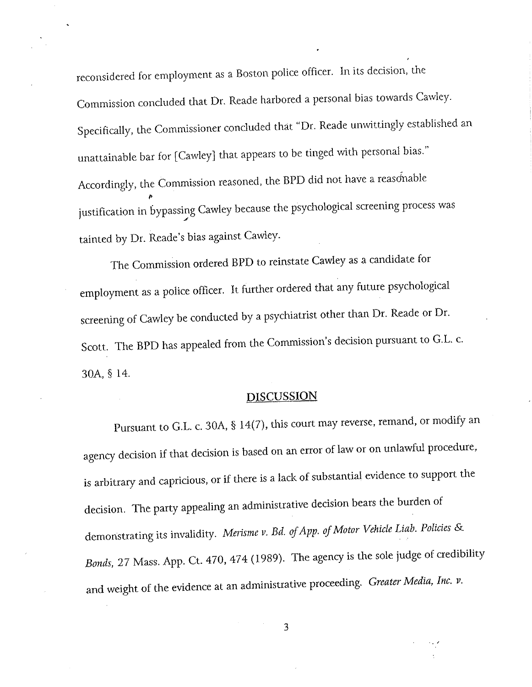reconsidered for employment as a Boston police officer. In its decision, the Commission concluded that Dr. Reade harbored a personal bias towards Cawley. Specifically, the Commissioner concluded that "Dr. Reade unwittingly established an unattainable bar for [Cawley] that appears to be tinged with personal bias." Accordingly, the Commission reasoned, the BPD did not have a reasonable justification in bypassing Cawley because the psychological screening process was \_,, tainted by Dr. Reade's bias against Cawley.

The Commission ordered **BPD** to reinstate Cawley as a candidate for employment as a police officer. It further ordered that any future psychological screening of Cawley be conducted by a psychiatrist other than Dr. Reade or Dr. Scott. The **BPD** has appealed from the Commission's decision pursuant to G.L. c. 30A, § 14.

## **DISCUSSION**

Pursuant to G.L. c. 30A, § 14(7), this court may reverse, remand, or modify an agency decision if that decision is based on an error of law or on unlawful procedure, is arbitrary and capricious, or if there is a lack of substantial evidence to support the decision. The party appealing an administrative decision bears the burden of demonstrating its invalidity. *Merisme v. Bd. of App. of Motor Vehicle Liab. Policies* & Bonds, 27 Mass. App. Ct. 470, 474 (1989). The agency is the sole judge of credibility and weight of the evidence at an administrative proceeding. *Greater Media, Inc. v.* 

3

. ,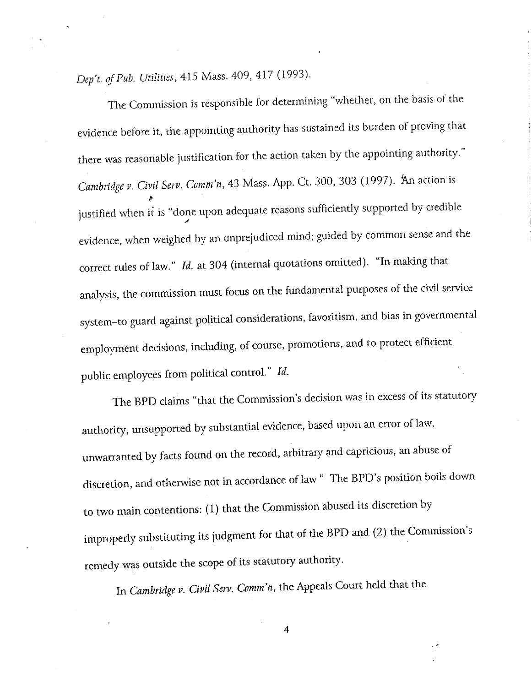*Dep't. of Pub. Utilities,* 415 Mass. 409,417 (1993).

The Commission is responsible for determining "whether, on the basis of the evidence before it, the appointing authority has sustained its burden of proving that there was reasonable justification for the action taken by the appointing authority." *Cambridge v. Civil Serv. Comm'n,* <sup>43</sup>Mass. App. Ct. 300, 303 (1997). An action is *f*  justified when it is "done upon adequate reasons sufficiently supported by credible ., evidence, when weighed by an unprejudiced mind; guided by common sense and the correct rules of law." *Id.* at 304 (internal quotations omitted). "In making that analysis, the commission must focus on the fundamental purposes of the civil service system-to guard against political considerations, favoritism, and bias in governmental employment decisions, including, of course, promotions, and to protect efficient public employees from political control." *Id.* 

The BPD claims "that the Commission's decision was in excess of its statutory authority, unsupported by substantial evidence, based upon an error of law, unwarranted by facts found on the record, arbitrary and capricious, an abuse of discretion, and otherwise not in accordance of law." The BPD's position boils down to two main contentions: (l) that the Commission abused its discretion by improperly substituting its judgment for that of the BPD and (2) the Commission's remedy was outside the scope of its statutory authority.

In *Cambridge v. Civil Serv. Comm'n,* the Appeals Court held that the

4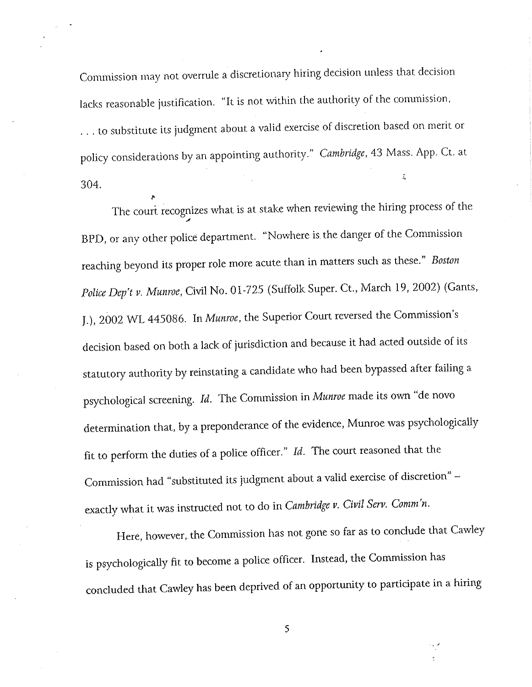Commission may not overrule a discretionary hiring decision unless that decision lacks reasonable justification. "It is not within the authority of the commission, ... to substitute its judgment about a valid exercise of discretion based on merit or policy considerations by an appointing authority." *Cambridge,* 43 Mass. App. Ct. at  $\hat{t}_\mathrm{c}$ 304.

The court recognizes what is at stake when reviewing the hiring process of the BPD, or any other police department. "Nowhere is. the danger of the Commission reaching beyond its proper role more acute than in matters such as these." *Boston Police Dep't v. Munroe,* Civil No. 01-725 (Suffolk Super. Ct., March 19, 2002) (Gants, J.), 2002 WL 445086. In *Munroe,* the Superior Court reversed the Commission's decision based on both a lack of jurisdiction and because it had acted outside of its statutory authority by reinstating a candidate who had been bypassed after failing a psychological screening. *Id.* The Commission in *Munroe* made its own "de novo determination that, by a preponderance of the evidence, Munroe was psychologically fit to perform the duties of a police officer." *Id.* The court reasoned that the Commission had "substituted its judgment about a valid exercise of discretion" exactly what it was instructed not to do in *Cambridge v. Civil Serv. Comm'n.* 

Here, however, the Commission has not gone so far as to conclude that Cawley is psychologically fit to become a police officer. Instead, the Commission has concluded that Cawley has been deprived of an opportunity to participate in a hiring

5

. ,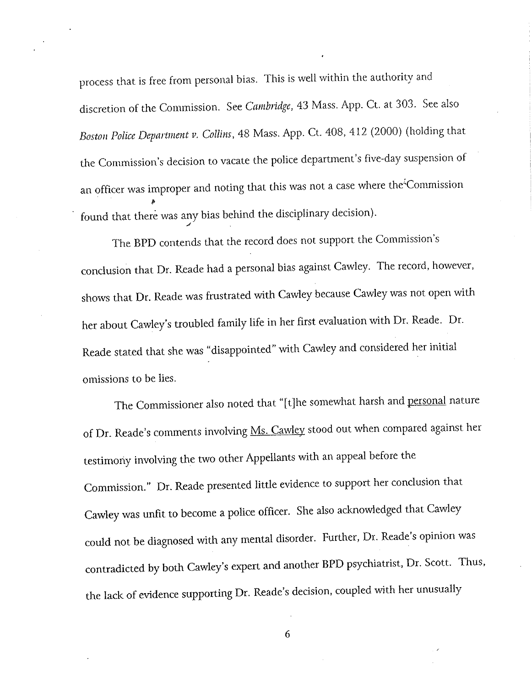process that is free from personal bias. This is well within the authority and discretion of the Commission. See *Camblidge,* 43 Mass. App. Ct. at 303. See also *Boston Police Department v. Collins,* 48 Mass. App. Ct. 408, 412 (2000) (holding that the Commission's decision to vacate the police department's five-day suspension of an officer was improper and noting that this was not a case where the<sup>5</sup>Commission found that there was any bias behind the disciplinary decision).

The BPD contends that the record does not support the Commission's conclusion that Dr. Reade had a personal bias against Cawley. The record, however, shows that Dr. Reade was frustrated with Cawley because Cawley was not open with her about Cawley's troubled family life in her first evaluation with Dr. Reade. Dr. Reade stated that she was "disappointed" with Cawley and considered her initial omissions to be lies.

The Commissioner also noted that "[t]he somewhat harsh and personal nature of Dr. Reade's comments involving Ms. Cawley stood out when compared against her testimony involving the two other Appellants with an appeal before the Commission." Dr. Reade presented little evidence to support her conclusion that Cawley was unfit to become a police officer. She also acknowledged that Cawley could not be diagnosed with any mental disorder. Further, Dr. Reade's opinion was contradicted by both Cawley's expert and another BPD psychiatrist, Dr. Scott. Thus, the lack of evidence supporting Dr. Reade's decision, coupled with her unusually

6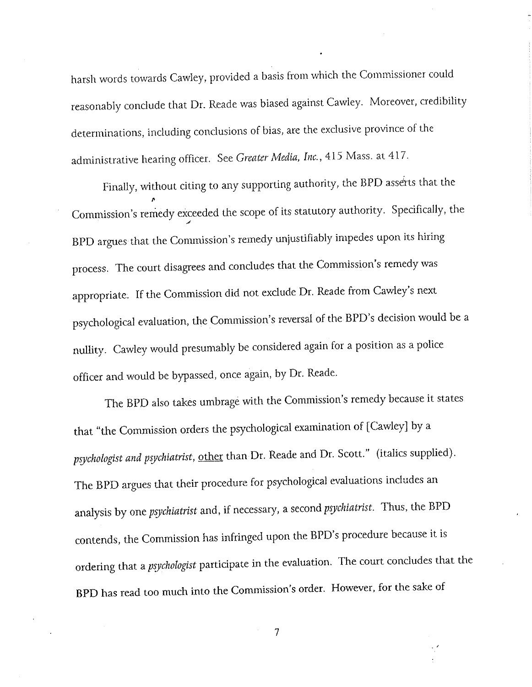harsh words towards Cawley, provided a basis from which the Commissioner could reasonably conclude that Dr. Reade was biased against Cawley. Moreover, credibility determinations, including conclusions of bias, are the exclusive province of the administrative hearing officer. See *Greater Media, Inc.,* 415 Mass. at 417.

Finally, without citing to any supporting authority, the BPD asserts that the Commission's remedy exceeded the scope of its statutory authority. Specifically, the .., BPD argues that the Commission's remedy unjustifiably impedes upon its hiring process. The court disagrees and concludes that the Commission's remedy was appropriate. If the Commission did not exclude Dr. Reade from Cawley's next psychological evaluation, the Commission's reversal of the BPD's decision would be a nullity. Cawley would presumably be considered again for a position as a police officer and would be bypassed, once again, by Dr. Reade.

The BPD also takes umbrage with the Commission's remedy because it states that "the Commission orders the psychological examination of [Cawley] by <sup>a</sup> *psychologist and psychiatrist,* other than Dr. Reade and Dr. Scott." (italics supplied). The BPD argues that their procedure for psychological evaluations includes an analysis by one *psychiatrist* and, if necessary, a second *psychiatrist.* Thus, the BPD contends, the Commission has infringed upon the BPD's procedure because it is ordering that a *psychologist* participate in the evaluation. The court concludes that the **BPD** has read too much into the Commission's order. However, for the sake of

7